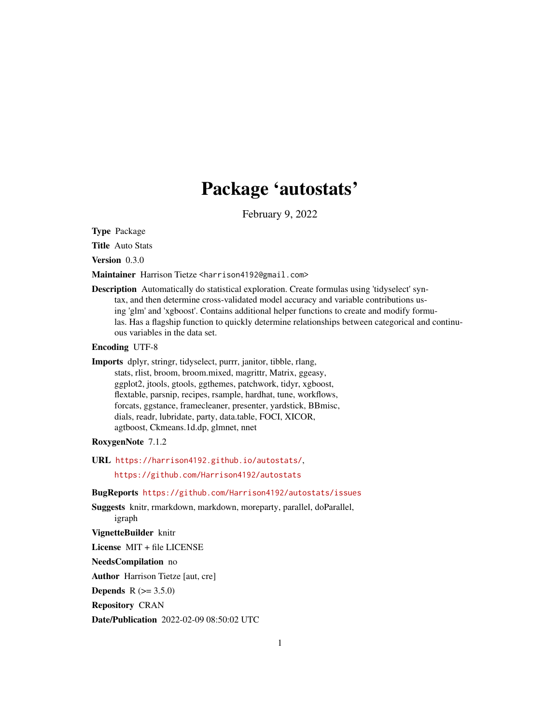# Package 'autostats'

February 9, 2022

<span id="page-0-0"></span>Type Package

Title Auto Stats

Version 0.3.0

Maintainer Harrison Tietze <harrison4192@gmail.com>

Description Automatically do statistical exploration. Create formulas using 'tidyselect' syntax, and then determine cross-validated model accuracy and variable contributions using 'glm' and 'xgboost'. Contains additional helper functions to create and modify formulas. Has a flagship function to quickly determine relationships between categorical and continuous variables in the data set.

Encoding UTF-8

Imports dplyr, stringr, tidyselect, purrr, janitor, tibble, rlang, stats, rlist, broom, broom.mixed, magrittr, Matrix, ggeasy, ggplot2, jtools, gtools, ggthemes, patchwork, tidyr, xgboost, flextable, parsnip, recipes, rsample, hardhat, tune, workflows, forcats, ggstance, framecleaner, presenter, yardstick, BBmisc, dials, readr, lubridate, party, data.table, FOCI, XICOR, agtboost, Ckmeans.1d.dp, glmnet, nnet

#### RoxygenNote 7.1.2

URL <https://harrison4192.github.io/autostats/>,

<https://github.com/Harrison4192/autostats>

#### BugReports <https://github.com/Harrison4192/autostats/issues>

Suggests knitr, rmarkdown, markdown, moreparty, parallel, doParallel, igraph

#### VignetteBuilder knitr

License MIT + file LICENSE

NeedsCompilation no

Author Harrison Tietze [aut, cre]

**Depends**  $R (= 3.5.0)$ 

Repository CRAN

Date/Publication 2022-02-09 08:50:02 UTC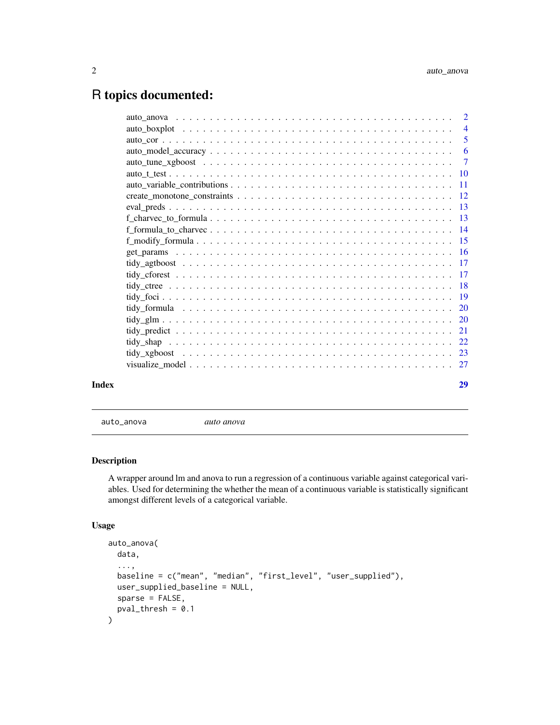## <span id="page-1-0"></span>R topics documented:

| Index | 29 |
|-------|----|

auto\_anova *auto anova*

#### Description

A wrapper around lm and anova to run a regression of a continuous variable against categorical variables. Used for determining the whether the mean of a continuous variable is statistically significant amongst different levels of a categorical variable.

#### Usage

```
auto_anova(
  data,
  ...,
 baseline = c("mean", "median", "first_level", "user_supplied"),
 user_supplied_baseline = NULL,
  sparse = FALSE,
  pval_{th}resh = 0.1
\mathcal{E}
```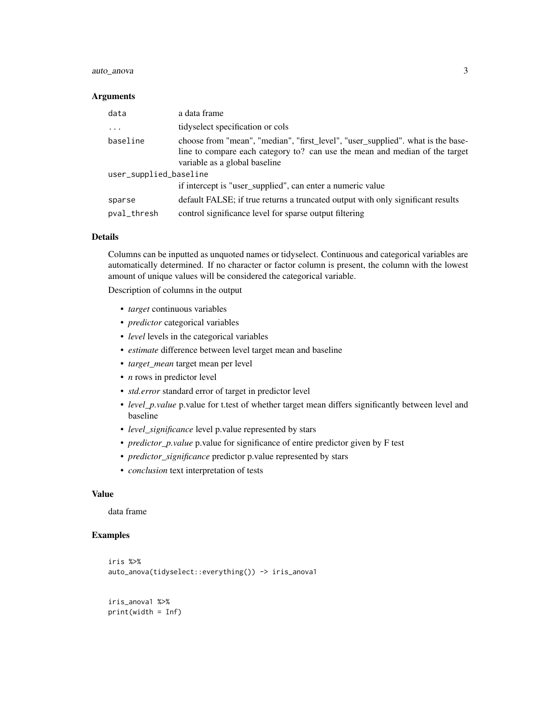#### auto\_anova 3

#### Arguments

| data                   | a data frame                                                                                                                                                                                    |  |
|------------------------|-------------------------------------------------------------------------------------------------------------------------------------------------------------------------------------------------|--|
| $\cdots$               | tidyselect specification or cols                                                                                                                                                                |  |
| baseline               | choose from "mean", "median", "first_level", "user_supplied". what is the base-<br>line to compare each category to? can use the mean and median of the target<br>variable as a global baseline |  |
| user_supplied_baseline |                                                                                                                                                                                                 |  |
|                        | if intercept is "user_supplied", can enter a numeric value                                                                                                                                      |  |
| sparse                 | default FALSE; if true returns a truncated output with only significant results                                                                                                                 |  |
| pval_thresh            | control significance level for sparse output filtering                                                                                                                                          |  |

#### Details

Columns can be inputted as unquoted names or tidyselect. Continuous and categorical variables are automatically determined. If no character or factor column is present, the column with the lowest amount of unique values will be considered the categorical variable.

Description of columns in the output

- *target* continuous variables
- *predictor* categorical variables
- *level* levels in the categorical variables
- *estimate* difference between level target mean and baseline
- *target\_mean* target mean per level
- *n* rows in predictor level
- *std.error* standard error of target in predictor level
- *level\_p.value* p.value for t.test of whether target mean differs significantly between level and baseline
- *level\_significance* level p.value represented by stars
- *predictor\_p.value* p.value for significance of entire predictor given by F test
- *predictor\_significance* predictor p.value represented by stars
- *conclusion* text interpretation of tests

#### Value

data frame

```
iris %>%
auto_anova(tidyselect::everything()) -> iris_anova1
```

```
iris_anova1 %>%
print(width = Inf)
```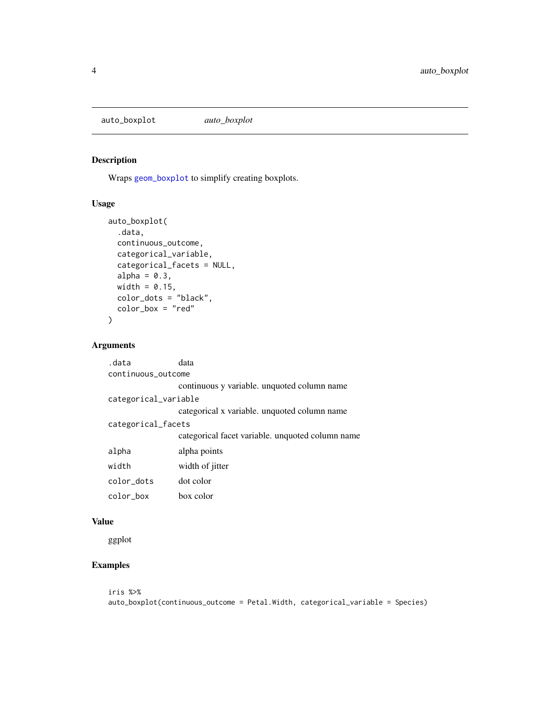<span id="page-3-0"></span>auto\_boxplot *auto\_boxplot*

#### Description

Wraps [geom\\_boxplot](#page-0-0) to simplify creating boxplots.

#### Usage

```
auto_boxplot(
  .data,
 continuous_outcome,
 categorical_variable,
  categorical_facets = NULL,
  alpha = 0.3,
 width = 0.15,
 color_dots = "black",
  color_box = "red"
\mathcal{E}
```
#### Arguments

| .data                | data                                             |
|----------------------|--------------------------------------------------|
| continuous outcome   |                                                  |
|                      | continuous y variable. unquoted column name      |
| categorical_variable |                                                  |
|                      | categorical x variable. unquoted column name     |
| categorical_facets   |                                                  |
|                      | categorical facet variable, unquoted column name |
| alpha                | alpha points                                     |
| width                | width of jitter                                  |
| color dots           | dot color                                        |
| color box            | box color                                        |

#### Value

ggplot

#### Examples

iris %>% auto\_boxplot(continuous\_outcome = Petal.Width, categorical\_variable = Species)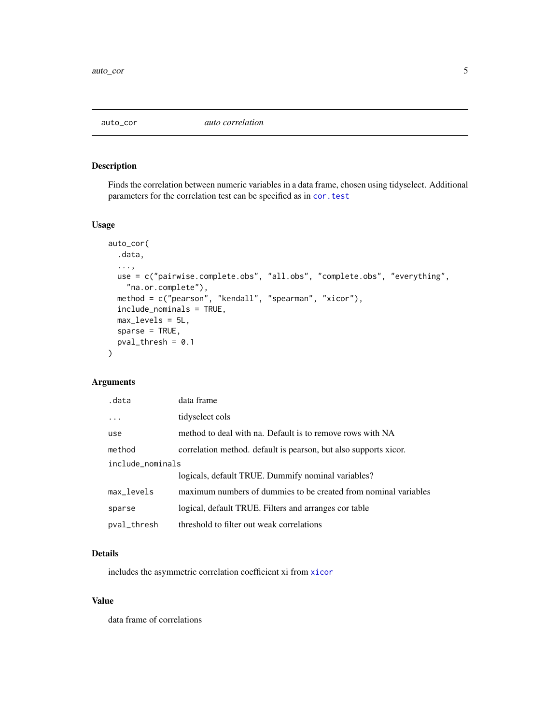<span id="page-4-0"></span>

#### Description

Finds the correlation between numeric variables in a data frame, chosen using tidyselect. Additional parameters for the correlation test can be specified as in [cor.test](#page-0-0)

#### Usage

```
auto_cor(
  .data,
  ...,
 use = c("pairwise.complete.obs", "all.obs", "complete.obs", "everything",
    "na.or.complete"),
 method = c("pearson", "kendall", "spearman", "xicor"),
  include_nominals = TRUE,
 max_levels = 5L,
  sparse = TRUE,
 pval_{th}resh = 0.1
\mathcal{L}
```
#### Arguments

| .data            | data frame                                                       |
|------------------|------------------------------------------------------------------|
|                  | tidyselect cols                                                  |
| use              | method to deal with na. Default is to remove rows with NA        |
| method           | correlation method, default is pearson, but also supports xicor. |
| include_nominals |                                                                  |
|                  | logicals, default TRUE. Dummify nominal variables?               |
| max_levels       | maximum numbers of dummies to be created from nominal variables  |
| sparse           | logical, default TRUE. Filters and arranges cor table            |
| pval_thresh      | threshold to filter out weak correlations                        |

#### Details

includes the asymmetric correlation coefficient xi from [xicor](#page-0-0)

#### Value

data frame of correlations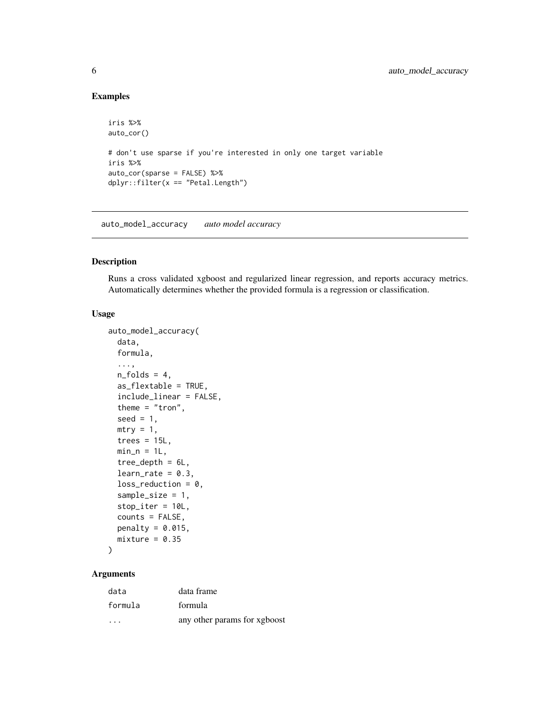#### Examples

```
iris %>%
auto_cor()
# don't use sparse if you're interested in only one target variable
iris %>%
auto_cor(sparse = FALSE) %>%
dplyr::filter(x == "Petal.Length")
```
auto\_model\_accuracy *auto model accuracy*

#### Description

Runs a cross validated xgboost and regularized linear regression, and reports accuracy metrics. Automatically determines whether the provided formula is a regression or classification.

#### Usage

```
auto_model_accuracy(
 data,
 formula,
  ...,
 n_folds = 4,
  as_flextable = TRUE,
  include_linear = FALSE,
  theme = "tron",seed = 1,
 mtry = 1,
  trees = 15L,
 min_n = 1L,
  tree_depth = 6L,
  learn_rate = 0.3,loss_{reduction} = 0,
  sample_size = 1,
  stop_iter = 10L,
  counts = FALSE,
 penalty = 0.015,
 mixture = 0.35)
```
#### Arguments

| data    | data frame                   |
|---------|------------------------------|
| formula | formula                      |
| .       | any other params for xgboost |

<span id="page-5-0"></span>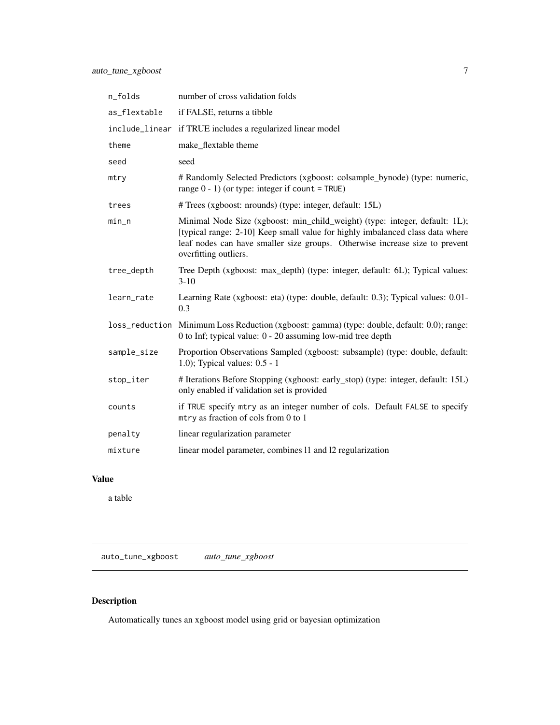<span id="page-6-0"></span>

| n_folds      | number of cross validation folds                                                                                                                                                                                                                                     |
|--------------|----------------------------------------------------------------------------------------------------------------------------------------------------------------------------------------------------------------------------------------------------------------------|
| as_flextable | if FALSE, returns a tibble                                                                                                                                                                                                                                           |
|              | include_linear if TRUE includes a regularized linear model                                                                                                                                                                                                           |
| theme        | make_flextable theme                                                                                                                                                                                                                                                 |
| seed         | seed                                                                                                                                                                                                                                                                 |
| mtry         | # Randomly Selected Predictors (xgboost: colsample_bynode) (type: numeric,<br>range $0 - 1$ ) (or type: integer if count = TRUE)                                                                                                                                     |
| trees        | # Trees (xgboost: nrounds) (type: integer, default: 15L)                                                                                                                                                                                                             |
| $min\_n$     | Minimal Node Size (xgboost: min_child_weight) (type: integer, default: 1L);<br>[typical range: 2-10] Keep small value for highly imbalanced class data where<br>leaf nodes can have smaller size groups. Otherwise increase size to prevent<br>overfitting outliers. |
| tree_depth   | Tree Depth (xgboost: max_depth) (type: integer, default: 6L); Typical values:<br>$3 - 10$                                                                                                                                                                            |
| learn_rate   | Learning Rate (xgboost: eta) (type: double, default: 0.3); Typical values: 0.01-<br>0.3                                                                                                                                                                              |
|              | loss_reduction Minimum Loss Reduction (xgboost: gamma) (type: double, default: 0.0); range:<br>0 to Inf; typical value: $0 - 20$ assuming low-mid tree depth                                                                                                         |
| sample_size  | Proportion Observations Sampled (xgboost: subsample) (type: double, default:<br>1.0); Typical values: $0.5 - 1$                                                                                                                                                      |
| stop_iter    | # Iterations Before Stopping (xgboost: early_stop) (type: integer, default: 15L)<br>only enabled if validation set is provided                                                                                                                                       |
| counts       | if TRUE specify mtry as an integer number of cols. Default FALSE to specify<br>mtry as fraction of cols from 0 to 1                                                                                                                                                  |
| penalty      | linear regularization parameter                                                                                                                                                                                                                                      |
| mixture      | linear model parameter, combines 11 and 12 regularization                                                                                                                                                                                                            |

#### Value

a table

auto\_tune\_xgboost *auto\_tune\_xgboost*

### Description

Automatically tunes an xgboost model using grid or bayesian optimization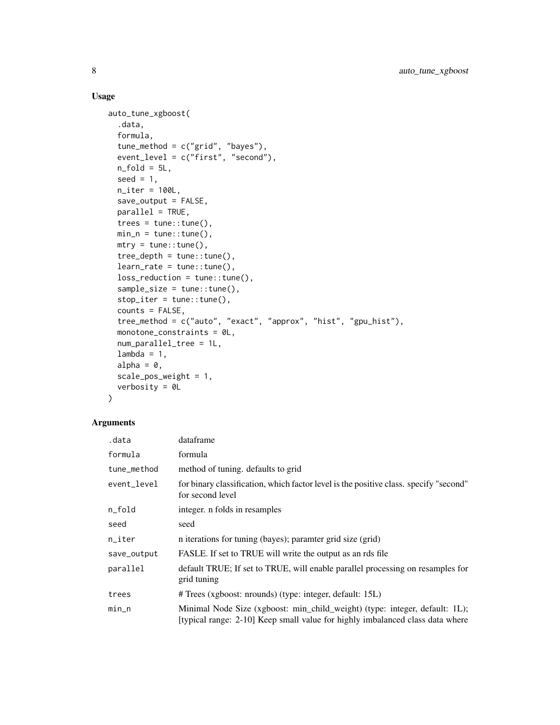#### Usage

```
auto_tune_xgboost(
  .data,
  formula,
  tune_method = c("grid", "bayes"),
  event_level = c("first", "second"),
 n_fold = 5L,
  seed = 1,
 n_iter = 100L,
  save_output = FALSE,
  parallel = TRUE,
  trees = tune::tune(),min_n = tune::tune(),mtry = tune::tune(),tree_depth = tune::tune(),
  learn_rate = tune::tune(),
  loss_reduction = tune::tune(),
  sample_size = tune::tune(),
  stop_iter = tune::tune(),
  counts = FALSE,tree_method = c("auto", "exact", "approx", "hist", "gpu_hist"),
  monotone_constraints = 0L,
  num_parallel_tree = 1L,
  lambda = 1,
  alpha = \theta,
  scale_pos_weight = 1,
  verbosity = 0L
\mathcal{L}
```
#### Arguments

| .data       | dataframe                                                                                                                                                    |
|-------------|--------------------------------------------------------------------------------------------------------------------------------------------------------------|
| formula     | formula                                                                                                                                                      |
| tune_method | method of tuning. defaults to grid                                                                                                                           |
| event_level | for binary classification, which factor level is the positive class. specify "second"<br>for second level                                                    |
| n_fold      | integer. n folds in resamples                                                                                                                                |
| seed        | seed                                                                                                                                                         |
| n_iter      | n iterations for tuning (bayes); paramter grid size (grid)                                                                                                   |
| save_output | FASLE. If set to TRUE will write the output as an rds file                                                                                                   |
| parallel    | default TRUE; If set to TRUE, will enable parallel processing on resamples for<br>grid tuning                                                                |
| trees       | # Trees (xgboost: nrounds) (type: integer, default: 15L)                                                                                                     |
| min_n       | Minimal Node Size (xgboost: min_child_weight) (type: integer, default: 1L);<br>[typical range: 2-10] Keep small value for highly imbalanced class data where |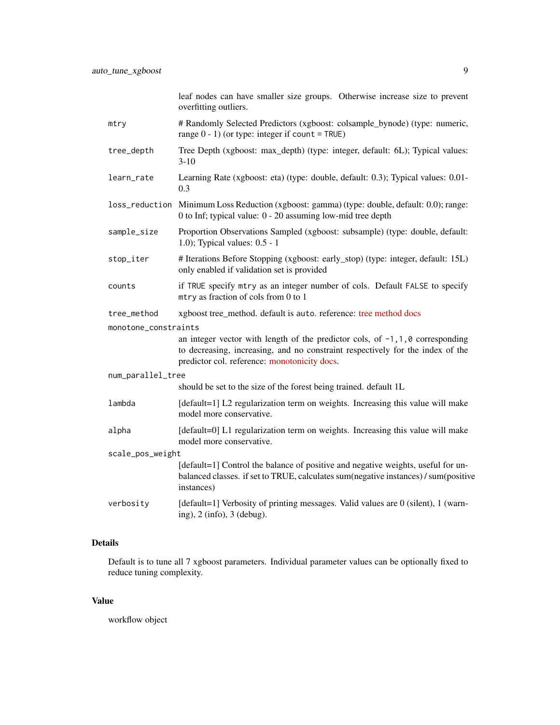leaf nodes can have smaller size groups. Otherwise increase size to prevent overfitting outliers.

- mtry # Randomly Selected Predictors (xgboost: colsample\_bynode) (type: numeric, range  $0 - 1$ ) (or type: integer if count = TRUE)
- tree\_depth Tree Depth (xgboost: max\_depth) (type: integer, default: 6L); Typical values: 3-10
- learn\_rate Learning Rate (xgboost: eta) (type: double, default: 0.3); Typical values: 0.01- 0.3
- loss\_reduction Minimum Loss Reduction (xgboost: gamma) (type: double, default: 0.0); range: 0 to Inf; typical value: 0 - 20 assuming low-mid tree depth
- sample\_size Proportion Observations Sampled (xgboost: subsample) (type: double, default: 1.0); Typical values: 0.5 - 1
- stop\_iter # Iterations Before Stopping (xgboost: early\_stop) (type: integer, default: 15L) only enabled if validation set is provided
- counts if TRUE specify mtry as an integer number of cols. Default FALSE to specify mtry as fraction of cols from 0 to 1
- tree\_method xgboost tree\_method. default is auto. reference: [tree method docs](https://xgboost.readthedocs.io/en/stable/treemethod.html)

monotone\_constraints

an integer vector with length of the predictor cols, of  $-1$ ,  $1$ ,  $0$  corresponding to decreasing, increasing, and no constraint respectively for the index of the predictor col. reference: [monotonicity docs.](https://xgboost.readthedocs.io/en/stable/tutorials/monotonic.html)

#### num\_parallel\_tree should be set to the size of the forest being trained. default 1L

lambda [default=1] L2 regularization term on weights. Increasing this value will make model more conservative.

alpha [default=0] L1 regularization term on weights. Increasing this value will make model more conservative.

scale\_pos\_weight [default=1] Control the balance of positive and negative weights, useful for unbalanced classes. if set to TRUE, calculates sum(negative instances) / sum(positive instances)

verbosity [default=1] Verbosity of printing messages. Valid values are 0 (silent), 1 (warning), 2 (info), 3 (debug).

#### Details

Default is to tune all 7 xgboost parameters. Individual parameter values can be optionally fixed to reduce tuning complexity.

#### Value

workflow object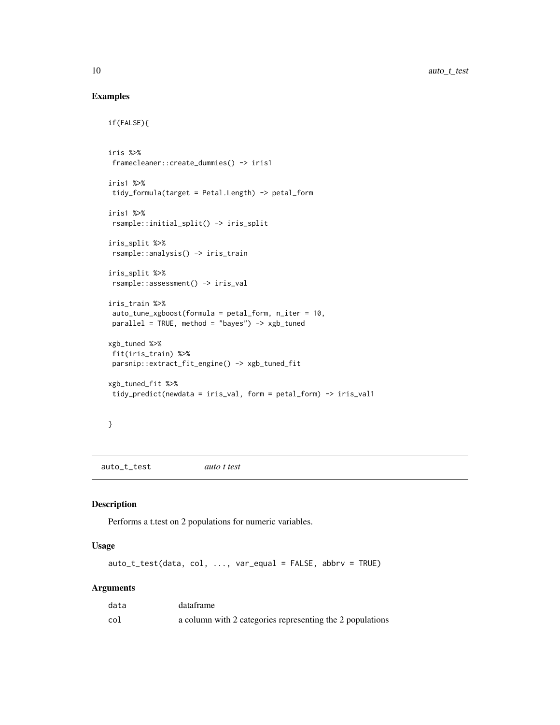#### Examples

```
if(FALSE){
iris %>%
framecleaner::create_dummies() -> iris1
iris1 %>%
tidy_formula(target = Petal.Length) -> petal_form
iris1 %>%
rsample::initial_split() -> iris_split
iris_split %>%
rsample::analysis() -> iris_train
iris_split %>%
rsample::assessment() -> iris_val
iris_train %>%
auto_tune_xgboost(formula = petal_form, n_iter = 10,
parallel = TRUE, method = "bayes") -> xgb_tuned
xgb_tuned %>%
fit(iris_train) %>%
parsnip::extract_fit_engine() -> xgb_tuned_fit
xgb_tuned_fit %>%
tidy_predict(newdata = iris_val, form = petal_form) -> iris_val1
```

```
}
```
auto\_t\_test *auto t test*

#### Description

Performs a t.test on 2 populations for numeric variables.

#### Usage

auto\_t\_test(data, col, ..., var\_equal = FALSE, abbrv = TRUE)

#### Arguments

| data | dataframe                                                 |
|------|-----------------------------------------------------------|
| col  | a column with 2 categories representing the 2 populations |

<span id="page-9-0"></span>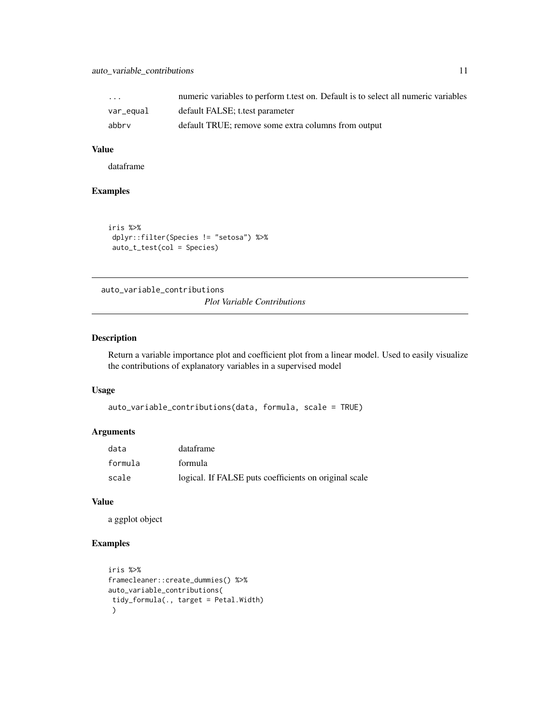#### <span id="page-10-0"></span>auto\_variable\_contributions 11

| $\cdot$ $\cdot$ $\cdot$ | numeric variables to perform t.test on. Default is to select all numeric variables |
|-------------------------|------------------------------------------------------------------------------------|
| var_equal               | default FALSE; t.test parameter                                                    |
| abbrv                   | default TRUE; remove some extra columns from output                                |

#### Value

dataframe

#### Examples

```
iris %>%
dplyr::filter(Species != "setosa") %>%
auto_t_test(col = Species)
```
auto\_variable\_contributions

*Plot Variable Contributions*

#### Description

Return a variable importance plot and coefficient plot from a linear model. Used to easily visualize the contributions of explanatory variables in a supervised model

#### Usage

```
auto_variable_contributions(data, formula, scale = TRUE)
```
#### Arguments

| data    | dataframe                                             |
|---------|-------------------------------------------------------|
| formula | formula                                               |
| scale   | logical. If FALSE puts coefficients on original scale |

#### Value

a ggplot object

```
iris %>%
framecleaner::create_dummies() %>%
auto_variable_contributions(
tidy_formula(., target = Petal.Width)
\lambda
```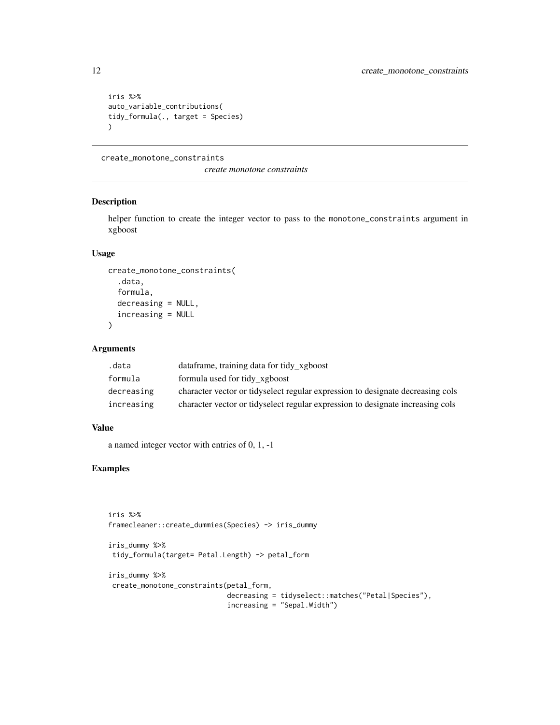```
iris %>%
auto_variable_contributions(
tidy_formula(., target = Species)
)
```
create\_monotone\_constraints

*create monotone constraints*

#### Description

helper function to create the integer vector to pass to the monotone\_constraints argument in xgboost

#### Usage

```
create_monotone_constraints(
  .data,
  formula,
  decreasing = NULL,
  increasing = NULL
)
```
#### Arguments

| .data      | data frame, training data for tidy xgboost                                     |
|------------|--------------------------------------------------------------------------------|
| formula    | formula used for tidy_xgboost                                                  |
| decreasing | character vector or tidyselect regular expression to designate decreasing cols |
| increasing | character vector or tidyselect regular expression to designate increasing cols |

#### Value

a named integer vector with entries of 0, 1, -1

```
iris %>%
framecleaner::create_dummies(Species) -> iris_dummy
```

```
iris_dummy %>%
tidy_formula(target= Petal.Length) -> petal_form
```

```
iris_dummy %>%
create_monotone_constraints(petal_form,
                            decreasing = tidyselect::matches("Petal|Species"),
                             increasing = "Sepal.Width")
```
<span id="page-11-0"></span>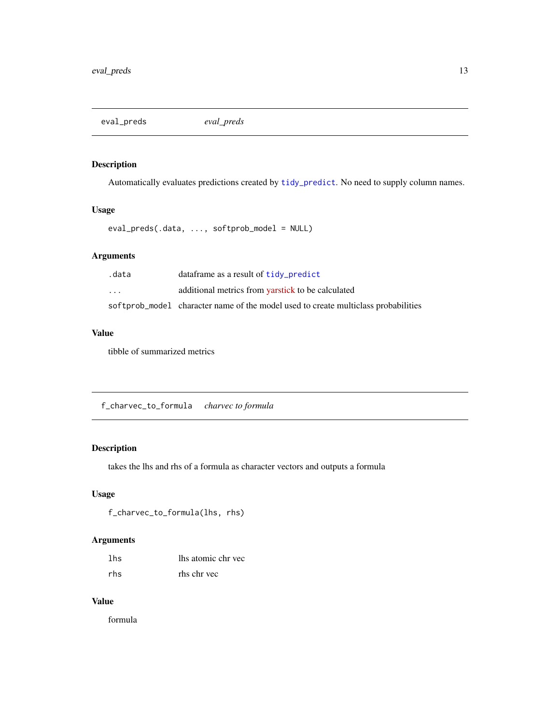<span id="page-12-0"></span>eval\_preds *eval\_preds*

#### Description

Automatically evaluates predictions created by [tidy\\_predict](#page-20-1). No need to supply column names.

#### Usage

eval\_preds(.data, ..., softprob\_model = NULL)

#### Arguments

| .data                   | data frame as a result of tidy_predict                                             |
|-------------------------|------------------------------------------------------------------------------------|
| $\cdot$ $\cdot$ $\cdot$ | additional metrics from yarstick to be calculated                                  |
|                         | softprob_model character name of the model used to create multiclass probabilities |

#### Value

tibble of summarized metrics

f\_charvec\_to\_formula *charvec to formula*

#### Description

takes the lhs and rhs of a formula as character vectors and outputs a formula

#### Usage

```
f_charvec_to_formula(lhs, rhs)
```
#### Arguments

| lhs | lhs atomic chr vec |
|-----|--------------------|
| rhs | rhs chr vec        |

#### Value

formula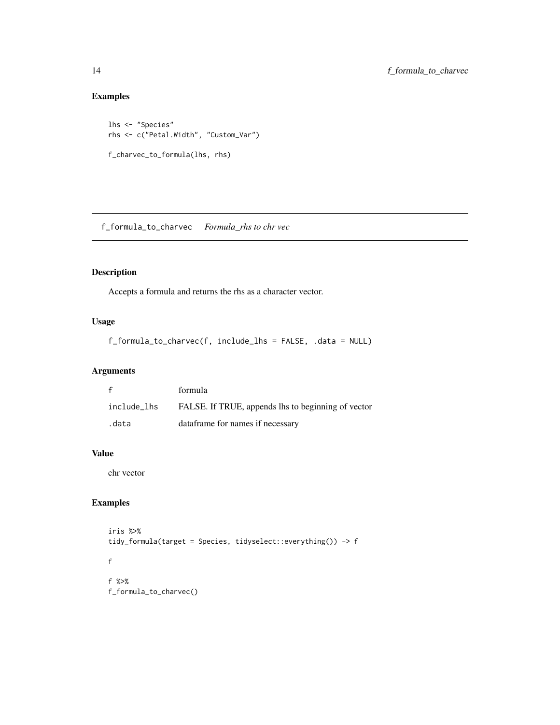#### Examples

```
lhs <- "Species"
rhs <- c("Petal.Width", "Custom_Var")
f_charvec_to_formula(lhs, rhs)
```
f\_formula\_to\_charvec *Formula\_rhs to chr vec*

#### Description

Accepts a formula and returns the rhs as a character vector.

#### Usage

```
f_formula_to_charvec(f, include_lhs = FALSE, .data = NULL)
```
#### Arguments

| f           | formula                                            |
|-------------|----------------------------------------------------|
| include_lhs | FALSE. If TRUE, appends lhs to beginning of vector |
| .data       | data frame for names if necessary                  |

#### Value

chr vector

```
iris %>%
tidy_formula(target = Species, tidyselect::everything()) -> f
f
f %>%
f_formula_to_charvec()
```
<span id="page-13-0"></span>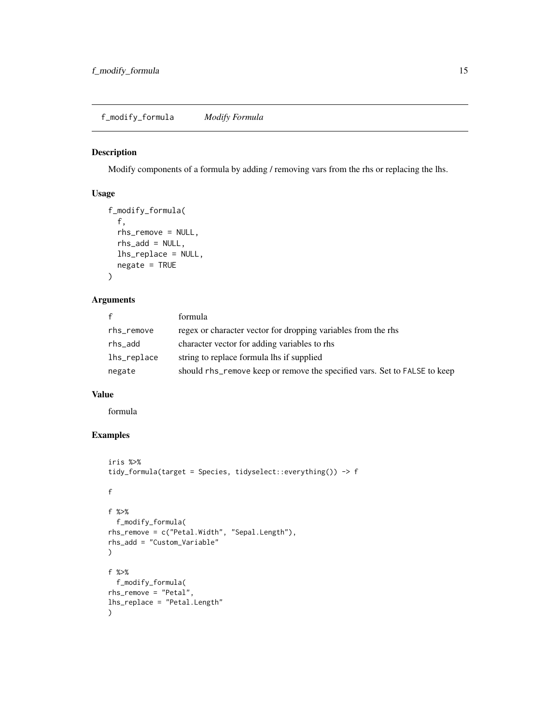<span id="page-14-0"></span>f\_modify\_formula *Modify Formula*

#### Description

Modify components of a formula by adding / removing vars from the rhs or replacing the lhs.

#### Usage

```
f_modify_formula(
  f,
  rhs_remove = NULL,
 rhs_add = NULL,
 lhs_replace = NULL,
 negate = TRUE
)
```
#### Arguments

| $\mathbf{f}$ | formula                                                                   |
|--------------|---------------------------------------------------------------------------|
| rhs_remove   | regex or character vector for dropping variables from the rhs             |
| rhs_add      | character vector for adding variables to rhs                              |
| lhs_replace  | string to replace formula lhs if supplied                                 |
| negate       | should rhs_remove keep or remove the specified vars. Set to FALSE to keep |

#### Value

formula

```
iris %>%
tidy_formula(target = Species, tidyselect::everything()) -> f
f
f %>%
  f_modify_formula(
rhs_remove = c("Petal.Width", "Sepal.Length"),
rhs_add = "Custom_Variable"
\mathcal{L}f %>%
 f_modify_formula(
rhs_remove = "Petal",
lhs_replace = "Petal.Length"
\mathcal{L}
```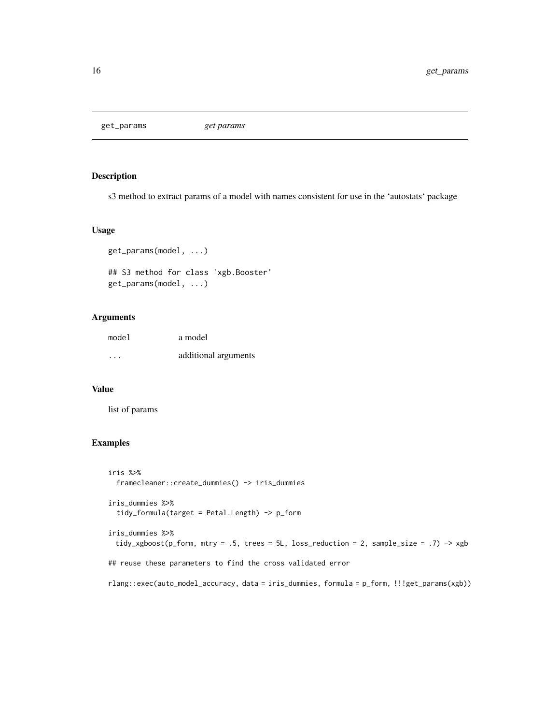<span id="page-15-0"></span>get\_params *get params*

#### Description

s3 method to extract params of a model with names consistent for use in the 'autostats' package

#### Usage

```
get_params(model, ...)
## S3 method for class 'xgb.Booster'
get_params(model, ...)
```
#### Arguments

| model | a model              |
|-------|----------------------|
| .     | additional arguments |

#### Value

list of params

```
iris %>%
 framecleaner::create_dummies() -> iris_dummies
iris_dummies %>%
 tidy_formula(target = Petal.Length) -> p_form
iris_dummies %>%
 tidy_xgboost(p_form, mtry = .5, trees = 5L, loss_reduction = 2, sample_size = .7) -> xgb
## reuse these parameters to find the cross validated error
rlang::exec(auto_model_accuracy, data = iris_dummies, formula = p_form, !!!get_params(xgb))
```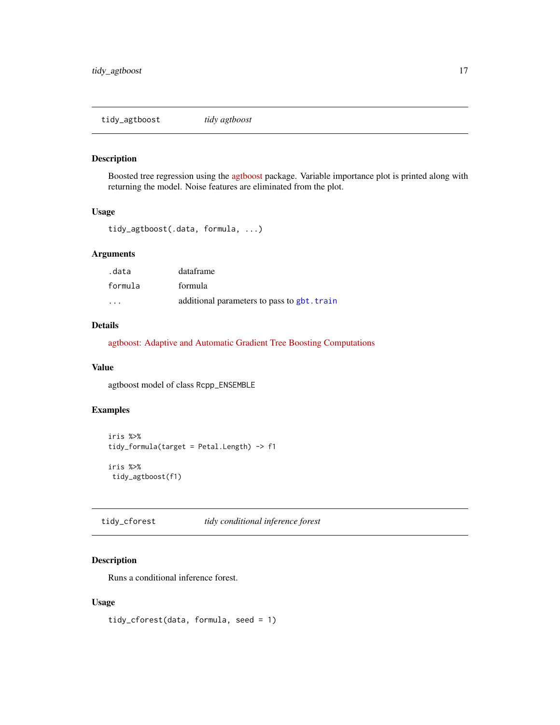<span id="page-16-0"></span>tidy\_agtboost *tidy agtboost*

#### Description

Boosted tree regression using the [agtboost](https://github.com/Blunde1/agtboost) package. Variable importance plot is printed along with returning the model. Noise features are eliminated from the plot.

#### Usage

```
tidy_agtboost(.data, formula, ...)
```
#### Arguments

| .data   | dataframe                                   |
|---------|---------------------------------------------|
| formula | formula                                     |
| .       | additional parameters to pass to gbt. train |

#### Details

[agtboost: Adaptive and Automatic Gradient Tree Boosting Computations](https://arxiv.org/abs/2008.12625)

#### Value

agtboost model of class Rcpp\_ENSEMBLE

#### Examples

```
iris %>%
tidy_formula(target = Petal.Length) -> f1
iris %>%
tidy_agtboost(f1)
```
tidy\_cforest *tidy conditional inference forest*

#### Description

Runs a conditional inference forest.

#### Usage

tidy\_cforest(data, formula, seed = 1)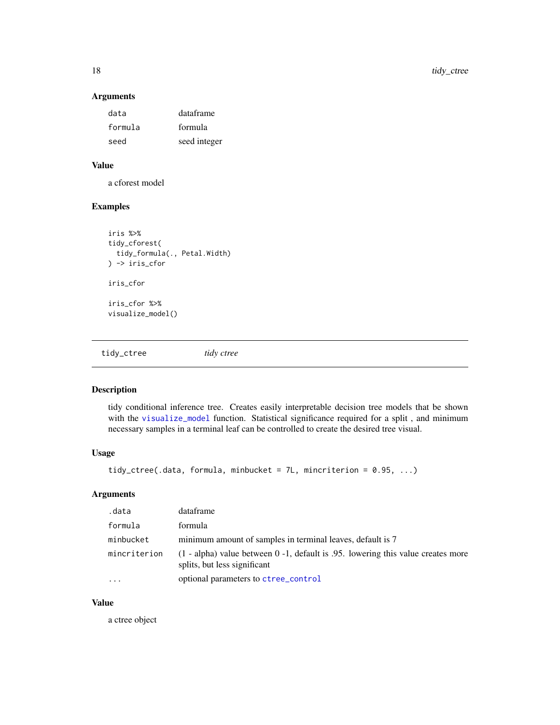#### Arguments

| data    | dataframe    |
|---------|--------------|
| formula | formula      |
| seed    | seed integer |

#### Value

a cforest model

#### Examples

```
iris %>%
tidy_cforest(
  tidy_formula(., Petal.Width)
) -> iris_cfor
iris_cfor
iris_cfor %>%
visualize_model()
```
tidy\_ctree *tidy ctree*

#### Description

tidy conditional inference tree. Creates easily interpretable decision tree models that be shown with the [visualize\\_model](#page-26-1) function. Statistical significance required for a split , and minimum necessary samples in a terminal leaf can be controlled to create the desired tree visual.

#### Usage

```
tidy_ctree(.data, formula, minbucket = 7L, mincriterion = 0.95, ...)
```
#### Arguments

| .data        | dataframe                                                                                                           |
|--------------|---------------------------------------------------------------------------------------------------------------------|
| formula      | formula                                                                                                             |
| minbucket    | minimum amount of samples in terminal leaves, default is 7                                                          |
| mincriterion | $(1 - alpha)$ value between 0 -1, default is 0.95. lowering this value creates more<br>splits, but less significant |
| .            | optional parameters to ctree_control                                                                                |

#### Value

a ctree object

<span id="page-17-0"></span>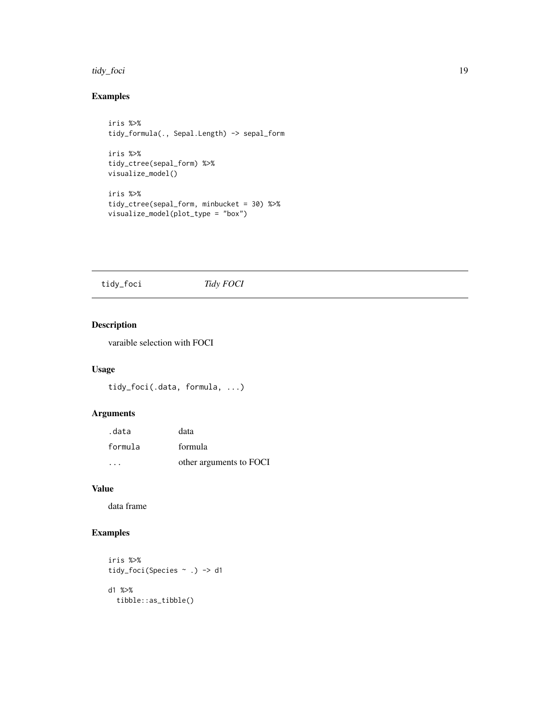#### <span id="page-18-0"></span>tidy\_foci 19

#### Examples

```
iris %>%
tidy_formula(., Sepal.Length) -> sepal_form
iris %>%
tidy_ctree(sepal_form) %>%
visualize_model()
iris %>%
tidy_ctree(sepal_form, minbucket = 30) %>%
visualize_model(plot_type = "box")
```
tidy\_foci *Tidy FOCI*

#### Description

varaible selection with FOCI

#### Usage

```
tidy_foci(.data, formula, ...)
```
#### Arguments

| .data                   | data                    |
|-------------------------|-------------------------|
| formula                 | formula                 |
| $\cdot$ $\cdot$ $\cdot$ | other arguments to FOCI |

#### Value

data frame

```
iris %>%
tidy_foci(Species ~ .) -> d1
d1 %>%
  tibble::as_tibble()
```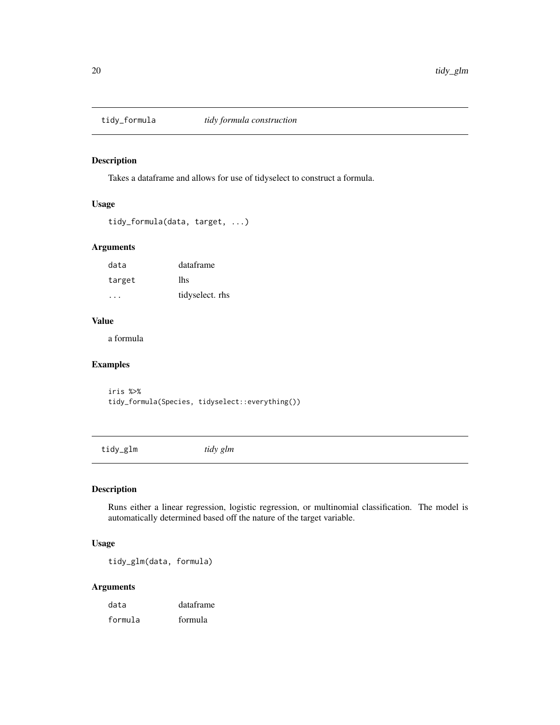<span id="page-19-0"></span>

#### Description

Takes a dataframe and allows for use of tidyselect to construct a formula.

#### Usage

```
tidy_formula(data, target, ...)
```
#### Arguments

| data      | dataframe       |
|-----------|-----------------|
| target    | lhs             |
| $\cdot$ . | tidyselect. rhs |

#### Value

a formula

#### Examples

iris %>% tidy\_formula(Species, tidyselect::everything())

tidy\_glm *tidy glm*

#### Description

Runs either a linear regression, logistic regression, or multinomial classification. The model is automatically determined based off the nature of the target variable.

#### Usage

tidy\_glm(data, formula)

#### Arguments

| data    | dataframe |
|---------|-----------|
| formula | formula   |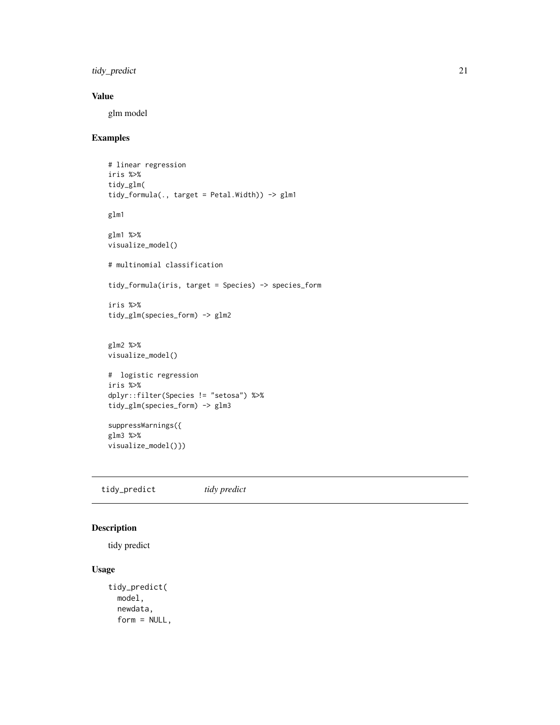<span id="page-20-0"></span>tidy\_predict 21

#### Value

glm model

#### Examples

```
# linear regression
iris %>%
tidy_glm(
tidy_formula(., target = Petal.Width)) -> glm1
glm1
glm1 %>%
visualize_model()
# multinomial classification
tidy_formula(iris, target = Species) -> species_form
iris %>%
tidy_glm(species_form) -> glm2
glm2 %>%
visualize_model()
# logistic regression
iris %>%
dplyr::filter(Species != "setosa") %>%
tidy_glm(species_form) -> glm3
suppressWarnings({
glm3 %>%
visualize_model()})
```
<span id="page-20-1"></span>tidy\_predict *tidy predict*

#### Description

tidy predict

#### Usage

```
tidy_predict(
 model,
  newdata,
  form = NULL,
```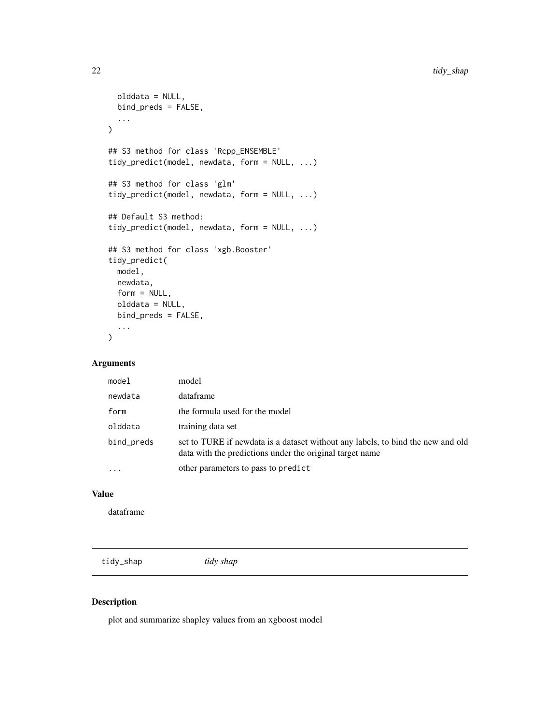```
olddata = NULL,
 bind_preds = FALSE,
  ...
\mathcal{L}## S3 method for class 'Rcpp_ENSEMBLE'
tidy_predict(model, newdata, form = NULL, ...)
## S3 method for class 'glm'
tidy_predict(model, newdata, form = NULL, ...)
## Default S3 method:
tidy_predict(model, newdata, form = NULL, ...)
## S3 method for class 'xgb.Booster'
tidy_predict(
 model,
 newdata,
 form = NULL,
 olddata = NULL,
 bind_preds = FALSE,
  ...
)
```
#### Arguments

| model      | model                                                                                                                                       |
|------------|---------------------------------------------------------------------------------------------------------------------------------------------|
| newdata    | dataframe                                                                                                                                   |
| form       | the formula used for the model                                                                                                              |
| olddata    | training data set                                                                                                                           |
| bind_preds | set to TURE if newdata is a dataset without any labels, to bind the new and old<br>data with the predictions under the original target name |
| $\cdots$   | other parameters to pass to predict                                                                                                         |

#### Value

dataframe

tidy\_shap *tidy shap*

#### Description

plot and summarize shapley values from an xgboost model

<span id="page-21-0"></span>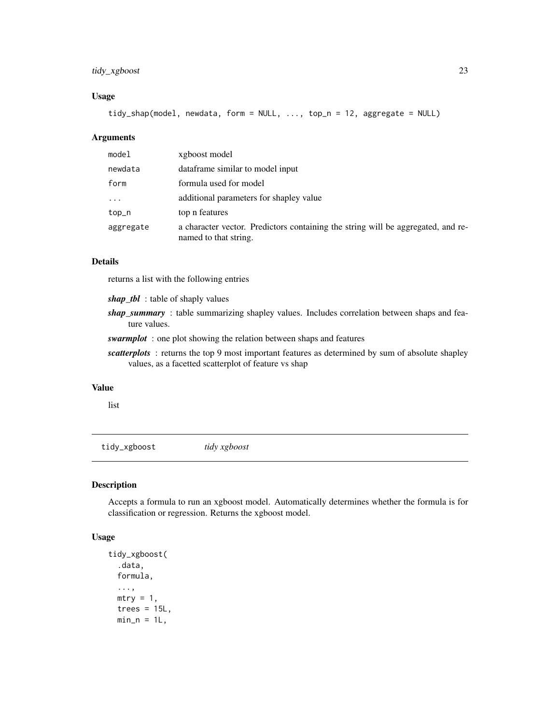#### <span id="page-22-0"></span>tidy\_xgboost 23

#### Usage

tidy\_shap(model, newdata, form = NULL, ..., top\_n = 12, aggregate = NULL)

#### Arguments

| model     | xgboost model                                                                                             |
|-----------|-----------------------------------------------------------------------------------------------------------|
| newdata   | data frame similar to model input                                                                         |
| form      | formula used for model                                                                                    |
| $\cdots$  | additional parameters for shapley value                                                                   |
| top_n     | top n features                                                                                            |
| aggregate | a character vector. Predictors containing the string will be aggregated, and re-<br>named to that string. |

#### Details

returns a list with the following entries

*shap\_tbl* : table of shaply values

*shap\_summary* : table summarizing shapley values. Includes correlation between shaps and feature values.

*swarmplot* : one plot showing the relation between shaps and features

*scatterplots* : returns the top 9 most important features as determined by sum of absolute shapley values, as a facetted scatterplot of feature vs shap

#### Value

list

tidy\_xgboost *tidy xgboost*

#### Description

Accepts a formula to run an xgboost model. Automatically determines whether the formula is for classification or regression. Returns the xgboost model.

#### Usage

```
tidy_xgboost(
  .data,
  formula,
  ...,
 mtry = 1,trees = 15L,
 min_n = 1L,
```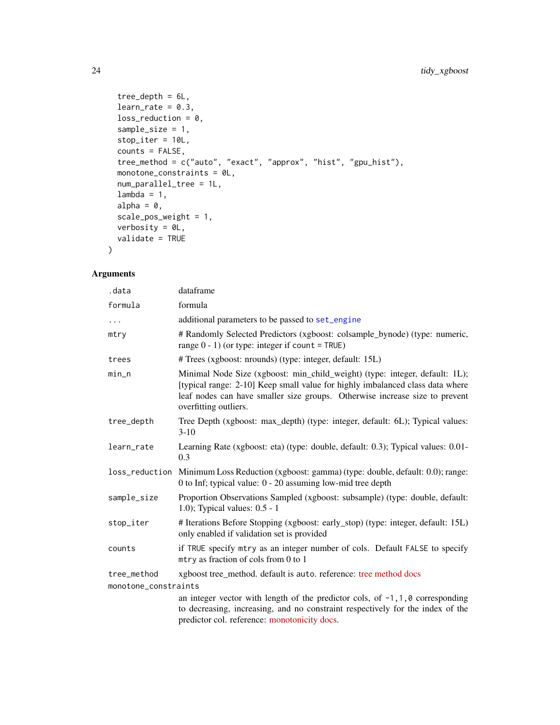```
tree_depth = 6L,
learn_rate = 0.3,loss_{reduction} = 0,
sample_size = 1,
stop_iter = 10L,
counts = FALSE,
tree_method = c("auto", "exact", "approx", "hist", "gpu_hist"),
monotone_constraints = 0L,
num_parallel_tree = 1L,
lambda = 1,
alpha = 0,scale_pos_weight = 1,
verbosity = 0L,
validate = TRUE
```
#### Arguments

)

| .data                | dataframe                                                                                                                                                                                                                                                            |  |
|----------------------|----------------------------------------------------------------------------------------------------------------------------------------------------------------------------------------------------------------------------------------------------------------------|--|
| formula              | formula                                                                                                                                                                                                                                                              |  |
| $\ddots$             | additional parameters to be passed to set_engine                                                                                                                                                                                                                     |  |
| mtry                 | # Randomly Selected Predictors (xgboost: colsample_bynode) (type: numeric,<br>range $0 - 1$ ) (or type: integer if count = TRUE)                                                                                                                                     |  |
| trees                | # Trees (xgboost: nrounds) (type: integer, default: 15L)                                                                                                                                                                                                             |  |
| min_n                | Minimal Node Size (xgboost: min_child_weight) (type: integer, default: 1L);<br>[typical range: 2-10] Keep small value for highly imbalanced class data where<br>leaf nodes can have smaller size groups. Otherwise increase size to prevent<br>overfitting outliers. |  |
| tree_depth           | Tree Depth (xgboost: max_depth) (type: integer, default: 6L); Typical values:<br>$3-10$                                                                                                                                                                              |  |
| learn_rate           | Learning Rate (xgboost: eta) (type: double, default: 0.3); Typical values: 0.01-<br>0.3                                                                                                                                                                              |  |
| loss_reduction       | Minimum Loss Reduction (xgboost: gamma) (type: double, default: 0.0); range:<br>0 to Inf; typical value: 0 - 20 assuming low-mid tree depth                                                                                                                          |  |
| sample_size          | Proportion Observations Sampled (xgboost: subsample) (type: double, default:<br>1.0); Typical values: 0.5 - 1                                                                                                                                                        |  |
| stop_iter            | # Iterations Before Stopping (xgboost: early_stop) (type: integer, default: 15L)<br>only enabled if validation set is provided                                                                                                                                       |  |
| counts               | if TRUE specify mtry as an integer number of cols. Default FALSE to specify<br>mtry as fraction of cols from 0 to 1                                                                                                                                                  |  |
| tree_method          | xgboost tree_method. default is auto. reference: tree method docs                                                                                                                                                                                                    |  |
| monotone_constraints |                                                                                                                                                                                                                                                                      |  |
|                      | an integer vector with length of the predictor cols, of $-1$ , 1, 0 corresponding<br>to decreasing, increasing, and no constraint respectively for the index of the<br>predictor col. reference: monotonicity docs.                                                  |  |

<span id="page-23-0"></span>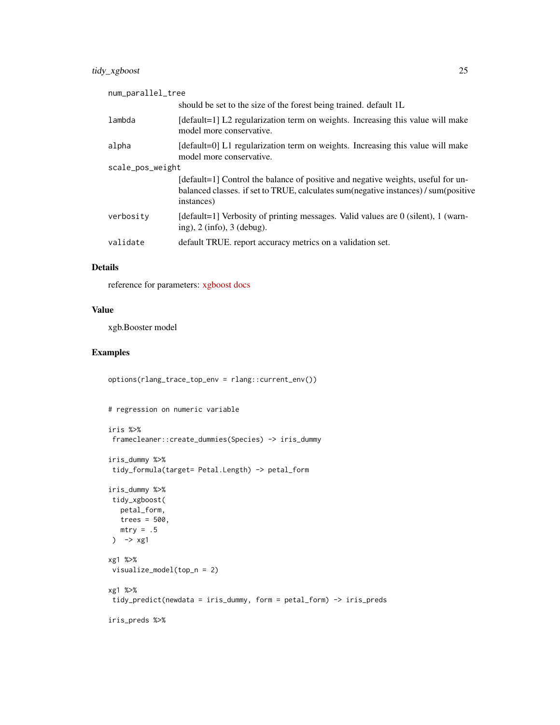#### tidy\_xgboost 25

| num_parallel_tree |                                                                                                                                                                                       |
|-------------------|---------------------------------------------------------------------------------------------------------------------------------------------------------------------------------------|
|                   | should be set to the size of the forest being trained. default 1L                                                                                                                     |
| lambda            | [default=1] L2 regularization term on weights. Increasing this value will make<br>model more conservative.                                                                            |
| alpha             | [default=0] L1 regularization term on weights. Increasing this value will make<br>model more conservative.                                                                            |
| scale_pos_weight  |                                                                                                                                                                                       |
|                   | [default=1] Control the balance of positive and negative weights, useful for un-<br>balanced classes. if set to TRUE, calculates sum(negative instances) / sum(positive<br>instances) |
| verbosity         | [default=1] Verbosity of printing messages. Valid values are 0 (silent), 1 (warn-<br>ing), $2 \text{ (info)}$ , $3 \text{ (debug)}$ .                                                 |
| validate          | default TRUE. report accuracy metrics on a validation set.                                                                                                                            |
|                   |                                                                                                                                                                                       |

#### Details

reference for parameters: [xgboost docs](https://xgboost.readthedocs.io/en/stable/parameter.html)

#### Value

xgb.Booster model

```
options(rlang_trace_top_env = rlang::current_env())
```

```
# regression on numeric variable
```

```
iris %>%
framecleaner::create_dummies(Species) -> iris_dummy
iris_dummy %>%
tidy_formula(target= Petal.Length) -> petal_form
iris_dummy %>%
tidy_xgboost(
  petal_form,
  trees = 500,
  mtry = .5) \rightarrow xg1xg1 %>%
 visualize_model(top_n = 2)
xg1 %>%
tidy_predict(newdata = iris_dummy, form = petal_form) -> iris_preds
iris_preds %>%
```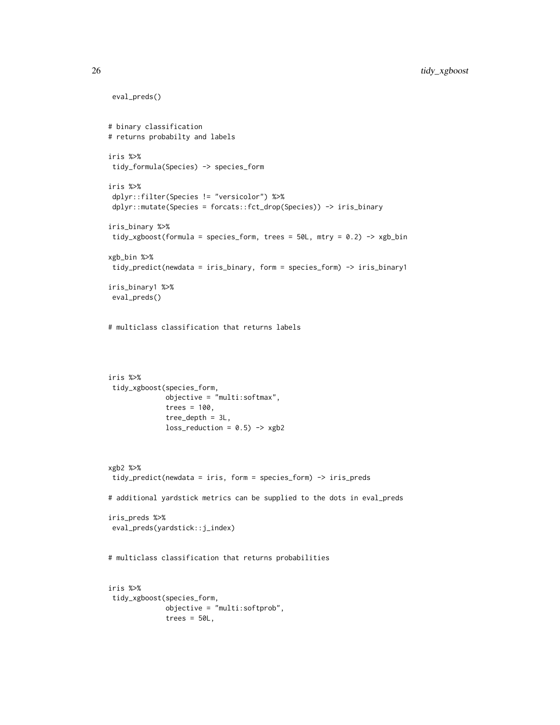```
eval_preds()
# binary classification
# returns probabilty and labels
iris %>%
tidy_formula(Species) -> species_form
iris %>%
dplyr::filter(Species != "versicolor") %>%
dplyr::mutate(Species = forcats::fct_drop(Species)) -> iris_binary
iris_binary %>%
tidy_xgboost(formula = species_form, trees = 50L, mtry = 0.2) -> xgb_bin
xgb_bin %>%
tidy_predict(newdata = iris_binary, form = species_form) -> iris_binary1
iris_binary1 %>%
eval_preds()
# multiclass classification that returns labels
iris %>%
tidy_xgboost(species_form,
             objective = "multi:softmax",
             trees = 100,
              tree\_depth = 3L,
             loss_{reduction} = 0.5) -> xgb2
xgb2 %>%
tidy_predict(newdata = iris, form = species_form) -> iris_preds
# additional yardstick metrics can be supplied to the dots in eval_preds
iris_preds %>%
eval_preds(yardstick::j_index)
# multiclass classification that returns probabilities
iris %>%
tidy_xgboost(species_form,
             objective = "multi:softprob",
             trees = 50L,
```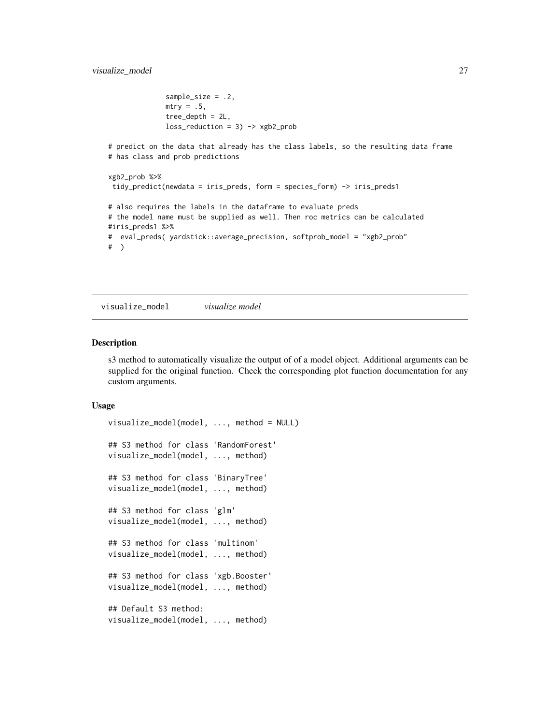```
sample_size = .2,
              mtry = .5,tree_depth = 2L,
              loss_{reduction} = 3) \rightarrow xgb2_{prob}# predict on the data that already has the class labels, so the resulting data frame
# has class and prob predictions
xgb2_prob %>%
tidy_predict(newdata = iris_preds, form = species_form) -> iris_preds1
# also requires the labels in the dataframe to evaluate preds
# the model name must be supplied as well. Then roc metrics can be calculated
#iris_preds1 %>%
# eval_preds( yardstick::average_precision, softprob_model = "xgb2_prob"
# )
```
<span id="page-26-1"></span>visualize\_model *visualize model*

#### Description

s3 method to automatically visualize the output of of a model object. Additional arguments can be supplied for the original function. Check the corresponding plot function documentation for any custom arguments.

#### Usage

```
visualize_model(model, ..., method = NULL)
## S3 method for class 'RandomForest'
visualize_model(model, ..., method)
## S3 method for class 'BinaryTree'
visualize_model(model, ..., method)
## S3 method for class 'glm'
visualize_model(model, ..., method)
## S3 method for class 'multinom'
visualize_model(model, ..., method)
## S3 method for class 'xgb.Booster'
visualize_model(model, ..., method)
## Default S3 method:
visualize_model(model, ..., method)
```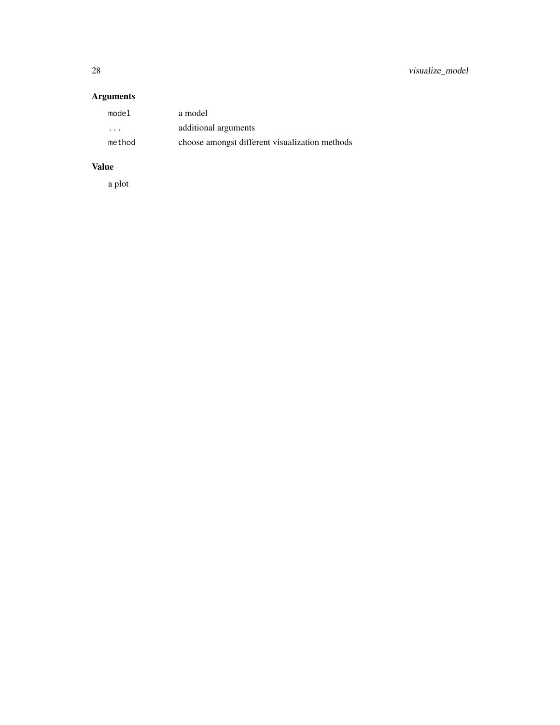28 visualize\_model

#### Arguments

| model                   | a model                                        |
|-------------------------|------------------------------------------------|
| $\cdot$ $\cdot$ $\cdot$ | additional arguments                           |
| method                  | choose amongst different visualization methods |

#### Value

a plot